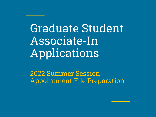Graduate Student Associate-In Applications

2022 Summer Session Appointment File Preparation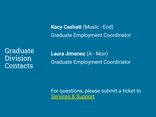**Kacy Cashatt** (Music - End) Graduate Employment Coordinator

Graduate Division **Contacts** 

**Laura Jimenez** (A - Muir) Graduate Employment Coordinator

For questions, please submit a ticket to [Services & Support](https://support.ucsd.edu/services)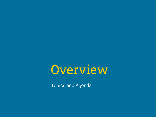

Topics and Agenda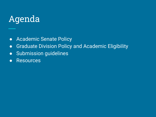## Agenda

- Academic Senate Policy
- Graduate Division Policy and Academic Eligibility
- Submission guidelines
- Resources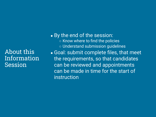About this Information **Session** 

• By the end of the session: ○ Know where to find the policies ○ Understand submission guidelines • Goal: submit complete files, that meet the requirements, so that candidates can be reviewed and appointments can be made in time for the start of instruction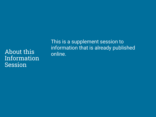About this Information Session

This is a supplement session to information that is already published online.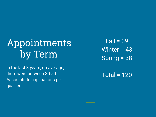# Appointments by Term

In the last 3 years, on average, there were between 30-50 Associate-In applications per quarter.

 $Fall = 39$ Winter = 43 Spring = 38

Total = 120

\_\_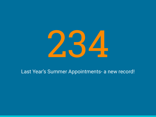

#### Last Year's Summer Appointments- a new record!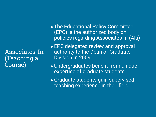Associates-In (Teaching a Course)

- The Educational Policy Committee (EPC) is the authorized body on policies regarding Associates-In (AIs)
- EPC delegated review and approval authority to the Dean of Graduate Division in 2009
- Undergraduates benefit from unique expertise of graduate students
- **Graduate students gain supervised** teaching experience in their field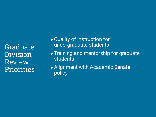Graduate Division Review **Priorities** 

- Quality of instruction for undergraduate students
- Training and mentorship for graduate students
- Alignment with Academic Senate policy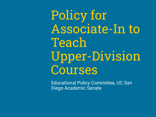Policy for Associate-In to Teach Upper-Division Courses

Educational Policy Committee, UC San Diego Academic Senate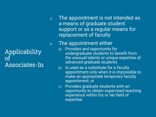Applicability of Associates-In 1. The appointment is not intended as a means of graduate student support or as a regular means for replacement of faculty

#### 2. The appointment either

- a) Provides and opportunity for undergraduate students to benefit from the unusual talents or unique expertise of advanced graduate students
- b) Is used as a substitute for a faculty appointment only when it is impossible to make an appropriate temporary faculty appointment, or
- c) Provides graduate students with an opportunity to obtain supervised teaching experience within his or her field of expertise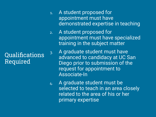### Qualifications Required

- 1. A student proposed for appointment must have demonstrated expertise in teaching
- 2. A student proposed for appointment must have specialized training in the subject matter
- 3. A graduate student must have advanced to candidacy at UC San Diego prior to submission of the request for appointment to Associate-In
- 4. A graduate student must be selected to teach in an area closely related to the area of his or her primary expertise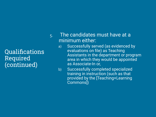### Qualifications Required (continued)

- 5. The candidates must have at a minimum either:
	- a) Successfully served (as evidenced by evaluations on file) as Teaching Assistants in the department or program area in which they would be appointed as Associate-In or,
	- b) Successfully completed specialized training in instruction (such as that provided by the [Teaching+Learning Commons])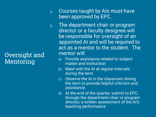#### Oversight and Mentoring

- 1. Courses taught by AIs must have been approved by EPC.
- 2. The department chair or program director or a faculty designee will be responsible for oversight of an appointed AI and will be required to act as a mentor to the student. The mentor will:
	- a) Provide assistance related to subject matter and instruction
	- b) Meet with the AI at regular intervals during the term
	- c) Observe the AI in the classroom during the term to provide helpful criticism and assistance
	- d) At the end of the quarter, submit to EPC, through the department chair or program director, a written assessment of the AI's teaching performance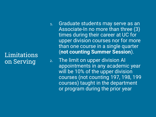#### Limitations on Serving

- 1. Graduate students may serve as an Associate-In no more than three (3) times during their career at UC for upper division courses nor for more than one course in a single quarter (**not counting Summer Session**).
- 2. The limit on upper division AI appointments in any academic year will be 10% of the upper division courses (not counting 197, 198, 199 courses) taught in the department or program during the prior year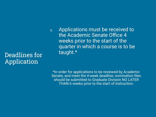Deadlines for Application

1. Applications must be received to the Academic Senate Office 4 weeks prior to the start of the quarter in which a course is to be taught.\*

\*In order for applications to be reviewed by Academic Senate, and meet the 4-week deadline, nomination files should be submitted to Graduate Division NO LATER THAN 6 weeks prior to the start of instruction.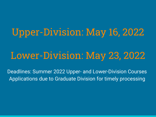# Upper-Division: May 16, 2022

## Lower-Division: May 23, 2022

Deadlines: Summer 2022 Upper- and Lower-Division Courses Applications due to Graduate Division for timely processing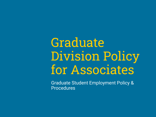# **Graduate** Division Policy for Associates

Graduate Student Employment Policy & Procedures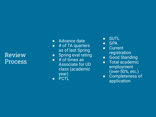#### Review Process

- Advance date
- # of TA quarters as of last Spring
- Spring eval rating
- $\bullet$  # of times as Associate for UD class (academic year)
- PCTL
- SUTL
- GPA
- Current registration
- Good Standing
- Total academic employment (over-50%, etc.)
- Completeness of application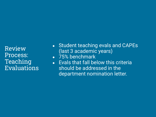Review Process: Teaching Evaluations

- Student teaching evals and CAPEs (last 3 academic years)
- 75% benchmark
- Evals that fall below this criteria should be addressed in the department nomination letter.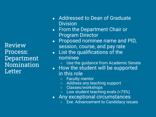Review Process: Department Nomination Letter

- Addressed to Dean of Graduate **Division**
- From the Department Chair or Program Director
- Proposed nominee name and PID, session, course, and pay rate
- List the qualifications of the nominee
	- Use the guidance from Academic Senate
- How the student will be supported in this role
	- Faculty mentor
	- Address any teaching support
	- Classes/workshops
	- Low student teaching evals (<75%)
- Any exceptional circumstances
	- Exe. Advancement to Candidacy issues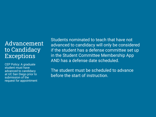#### Advancement to Candidacy Exceptions

CEP Policy: A graduate student must have advanced to candidacy at UC San Diego prior to submission of the request for appointment Students nominated to teach that have not advanced to candidacy will only be considered if the student has a defense committee set up in the Student Committee Membership App AND has a defense date scheduled.

The student must be scheduled to advance before the start of instruction.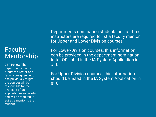#### Faculty Mentorship

CEP Policy: The department chair or program director or a faculty designee (who has previously taught the course) will be responsible for the oversight of an appointed Associate-In and will be required to act as a mentor to the student

Departments nominating students as first-time instructors are required to list a faculty mentor for Upper and Lower Division courses.

For Lower-Division courses, this information can be provided in the department nomination letter OR listed in the IA System Application in #10.

For Upper-Division courses, this information should be listed in the IA System Application in #10.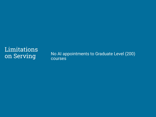# Limitations

on Serving<br>
No AI appointments to Graduate Level (200)<br>
Courses courses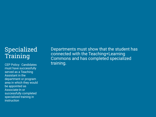### Specialized Training

training. CEP Policy: Candidates must have successfully served as a Teaching Assistant in the department or program area in which they would be appointed as Associate-In or successfully completed specialized training in instruction

Departments must show that the student has connected with the Teaching+Learning Commons and has completed specialized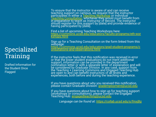To ensure that the instructor is aware of and can receive teaching support on campus, we request that the instructor participătes in either a <u>[Teaching Workshop](https://commons.ucsd.edu/educators/faculty-programs/eth-workshops.html)</u> or individual [Teaching Consultation](https://commons.ucsd.edu/educators/grad-student-programs/consultations-and-observations.html), whichever they would most benefit from in preparation to teach as Instructor of Record. The instructor should register for this support by [date] and provide evidence of having participated by [date].

Find a list of upcoming Teaching Workshops here: [https://commons.ucsd.edu/educators/faculty-programs/eth-wor](https://commons.ucsd.edu/educators/faculty-programs/eth-workshops.html) [kshops.html](https://commons.ucsd.edu/educators/faculty-programs/eth-workshops.html)

Sign up for a Teaching Consultation on the form linked from this webpage: [https://commons.ucsd.edu/educators/grad-student-programs/c](https://commons.ucsd.edu/educators/grad-student-programs/consultations-and-observations.html) [onsultations-and-observations.html](https://commons.ucsd.edu/educators/grad-student-programs/consultations-and-observations.html)

If the instructor feels that this notification was received in error or that the lower student evaluations do not merit additional support, information can be provided in the department nomination letter or with a separate letter of explanation and will be considered by Graduate Division. In any case, support from the Teaching + Learning Commons and Engaged Teaching Hub are open to and can benefit instructors of all levels and experiences, both before and during the teaching experience.

If you have questions about why you received this notification, pléase contact Graduate División: <u>[grademployment@ucsd.edu](mailto:grademployment@ucsd.edu)</u>

If you have questions about how to sign up for teaching support (workshops or consultations), please contact the Engaged  $^{\cdot}$ Teaching Hub: <u>[engagedteaching@ucsd.edu](mailto:engagedteaching@ucsd.edu)</u>

*Language can be found at: <https://collab.ucsd.edu/x/fmxjBg>*

#### Specialized Training

Drafted Information for the Student Once Flagged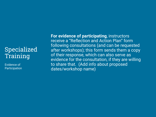### Specialized Training

Evidence of Participation **For evidence of participating**, instructors receive a "Reflection and Action Plan" form following consultations (and can be requested after workshops); this form sends them a copy of their response, which can also serve as evidence for the consultation, if they are willing to share that. (Add info about proposed dates/workshop name)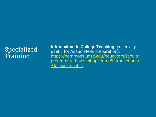### Specialized Training

**Introduction to College Teaching** (especially useful for Associate-In preparation): [https://commons.ucsd.edu/educators/faculty](https://commons.ucsd.edu/educators/faculty-programs/eth-workshops.html#Introduction-to-College-Teachin)[programs/eth-workshops.html#Introduction-to](https://commons.ucsd.edu/educators/faculty-programs/eth-workshops.html#Introduction-to-College-Teachin) [-College-Teachin](https://commons.ucsd.edu/educators/faculty-programs/eth-workshops.html#Introduction-to-College-Teachin)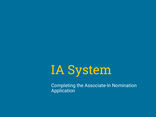

Completing the Associate-In Nomination Application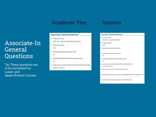#### **Academic Year Summer**

#### Associate-In General Questions

Tip: These questions are to be completed for Lower- and Upper-Division Courses

#### **Associate-In General Questions**

- 1. Proposed course
	- CGS 123 Gender & Reproductive Politics
- 2. Proposed quarter  $W121$
- 3. Proposed appointment percent time 50
- 4. Projected enrollments for the proposed course 20
- 5. Actual (past 2 years) enrollments for the proposed course WI20-14, WI18-17

#### **Associate-In General Questions**

- 1. Proposed course ETHN 152 - Law and Civil Rights
- 2. Proposed quarter S220
- 3. Sub-term (Special Session ONLY)
- 4. Proposed appointment percent time
	- 50
- 5. Projected enrollments for the proposed course 30
- 6. Actual (past 2 years) enrollments for the proposed course FA18=34; WI18=40
- 7. How many instructors will be teaching this class?

 $\overline{1}$ 

8. How many sections of this course will the applicant teach in the selected term?

 $\overline{1}$ 

9. Maximum units students can earn in the selected course

 $\overline{4}$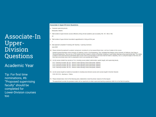#### Associate-In Upper-Division Questions

#### Academic Year

Tip: For first time nominations, #6: "Proposed supervising faculty" should be completed for Lower-Division courses too

#### **Associate-In Upper-Division Questions**

6. Proposed supervising faculty

Mosqueda, Gilberto

7. Total number of upper-division courses offered by hiring unit last academic year (excluding 195, 197, 198 or 199)

43

8. Total number of upper-division Associate-In appointments in hiring unit this year

```
\overline{1}
```
- 9. Date applicant completed TA training with Teaching + Learning Commons **June 2020**
- 10. Please indicate the applicant's academic background, including his or her research/thesis topic, and how it relates to this course.

Student received Bachelors at the University of California, Irvine in Civil Engineering. They completed their Masters at the University of California, San Diego in Structural Engineering. They are now a PhD student and their research consists of Nonlinear modeling of Lead Rubber Bearings using experimental data. This relates to Statics in the sense that the experimental data (Forces) have to be equivalent to the forces that the model is outputting. Also, by using the angles of the force, the force has to be broken down into its components which is an essential part of Statics.

- 11. List all courses student has served as TA in, including course subject code/number, quarter taught, and supervising faculty.
	- FA17: Teaching Assistant, SE 220 Seismic Isolatn & Energy Dissip (Mosqueda, Gilberto) FA18: Teaching Assistant, SE 220 - Seismic Isolatn & Energy Dissip (Mosqueda, Gilberto)
	- FA19: Teaching Assistant, SE 220 Seismic Isolath & Energy Dissip (Mosqueda, Gilberto)
	- FA20: Teaching Assistant, SE 220 Seismic Isolatn & Energy Dissip (Mosqueda, Gilberto)
- 12. List all courses taught by student as Associate-In, including lower division courses and courses taught in Summer Session.

S120: SE 101A - Mechanics I: Statics

- 13. Please indicate below which of the following policy statement(s) is/are the primary reason(s) for the request.
	- The appointment provides the graduate student with an opportunity to obtain supervised teaching experience within his or her field of expertise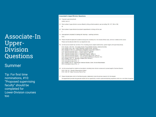#### Associate-In Upper-Division Questions

#### Summer

Tip: For first time nominations, #10: "Proposed supervising faculty" should be completed for Lower-Division courses too

#### **Associate-In Upper-Division Questions**

```
10. Proposed supervising faculty
   GORE, DAYO F.
```
11. Total number of upper-division courses offered by hiring unit last academic year (excluding 195, 197, 198 or 199) 42

12. Total number of upper-division Associate-In appointments in hiring unit this year

```
\overline{3}
```
13. Date applicant completed TA training with Teaching + Learning Commons

**FA15** 

14. Please indicate the applicant's academic background, including his or her research/thesis topic, and how it relates to this course. Please see the attached letter from our department chair

15. List all courses student has served as TA in, including course subject code/number, quarter taught, and supervising faculty.

FA15: Reader, CGS 100 - Conceptizg Gender-Theory&Methd (Santizo, Gabriela Domitila) WI16: Reader, SOCI 188I - Israeli-Palestinian Conflict (Shafir, Gershon) SP16: Reader, ETHN 118 - Contemprary Immigration Issues (Dorr, Kirstie A.) FA16: Teaching Assistant, DOC 1 - Diversity (Mariscal, George) WI17: Teaching Assistant, DOC 2 - Justice (Gagnon, Jeffrey C) SP17: Teaching Assistant, DOC 3 - Imagination (Gagnon, Jeffrey C) FA17: Teaching Assistant, ETHN 1 - Intro: Land and Labor (Frank, Ross H.) WI18: Teaching Assistant, ETHN 2 - Intro: CirculationsofDifference (Espiritu, Yen) SP18: Reader, CGS 112 - Sexuality & Nation (Dorr, Kirstie A.) FA18: Associate (in lieu of TA). - () WI19: Associate (in lieu of TA), - () SP19: Reader, AAS 10 - Intro/African-American Studies (Odom, Mychal Matsemelaali) SP19: Associate (in lieu of TA), - ()

16. List all courses taught by student as Associate-In, including lower division courses and courses taught in Summer Session.

S218: CGS 123 - Gender & Reproductive Politics S119: CGS 147 - Black Feminisms Past & Pres

17. Please indicate below which of the following policy statement(s) is/are the primary reason(s) for the request.

The appointment provides the graduate student with an opportunity to obtain supervised teaching experience within his or her field of expertise.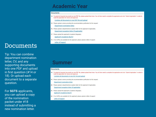#### **Academic Year**

#### **Documents**

14. To upload all required documents as one PDF file, please upload them here. You will then need to complete the application and click "Submit Application" in order to route the application for review and approval

Combine all documents in one PDF File and upload

15. Please upload a memo providing the recommendation justification for this request.

Department nomination letter

- 16. Please upload a departmental exception letter for this applicant (if applicable). Department exception letter (if applicable)
- 17. Please upload this applicant's Academic Biography.

**Applicant's Academic Bio/CV** 

18. If no CAPEs are available for this applicant, please upload a letter of support.

**Letter of Support** 

#### Documents

Tip: You can combine department nomination letter, CV, and any supporting documents into one PDF and upload in first question (#14 or 18). Or upload each document to a separate question.

For **SGTS** applicants, you can upload a copy of the nomination packet under #18 instead of submitting a new nomination letter.

#### **Summer**

#### **Documents**

18. To upload all required documents as one PDF file, please upload them here. You will then need to complete the application and click "Submit Application" in order to route the application for review and approval

Combine all documents in one PDF File and upload

- 19. Please upload a memo providing the recommendation justification for this request. Department nomination letter
- 20. Please upload a departmental exception letter for this applicant (if applicable). Department exception letter (if applicable)
- 21. Please upload this applicant's Academic Biography. Applicant's Academic Bio/CV
- 22. If no CAPEs are available for this applicant, please upload a letter of support.

Letter of Support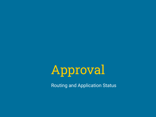

Routing and Application Status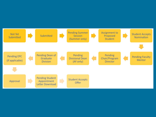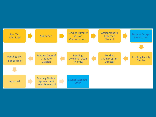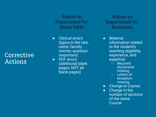#### **Corrective** Actions

#### **Return to Department for Quick Edits**

- Clerical errors (typos in the rate, name, faculty mentor, question responses)
- PDF errors (additional blank pages; NOT all blank pages)

**Return to Department for Revisions**

- Material information related to the student's teaching eligibility, experience, and expertise
	- Required documents missing
	- Letters of exception missing
- Change to Course
- Change in the number of sections of the same Course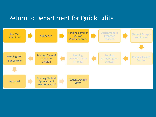#### Return to Department for Quick Edits

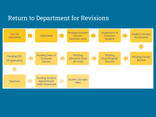#### Return to Department for Revisions

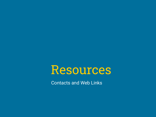

Contacts and Web Links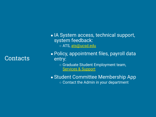#### Contacts

- IA System access, technical support, system feedback: o ATS, [ats@ucsd.edu](mailto:ats@ucsd.edu)
- Policy, appointment files, payroll data entry:
	- Graduate Student Employment team, [Services & Support](https://support.ucsd.edu/services)

• Student Committee Membership App ○ Contact the Admin in your department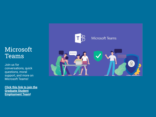### Microsoft Teams

Join us for conversations, quick questions, moral support, and more on Microsoft Teams!

**[Click this link to join the](https://teams.microsoft.com/l/team/19%3a4840e7091b0f4fd7822e7b8650384dd1%40thread.tacv2/conversations?groupId=56d780f5-30f1-401c-94e3-693480756b0c&tenantId=8a198873-4fec-4e76-8182-ca479edbbd60) [Graduate Student](https://teams.microsoft.com/l/team/19%3a4840e7091b0f4fd7822e7b8650384dd1%40thread.tacv2/conversations?groupId=56d780f5-30f1-401c-94e3-693480756b0c&tenantId=8a198873-4fec-4e76-8182-ca479edbbd60) [Employment Team!](https://teams.microsoft.com/l/team/19%3a4840e7091b0f4fd7822e7b8650384dd1%40thread.tacv2/conversations?groupId=56d780f5-30f1-401c-94e3-693480756b0c&tenantId=8a198873-4fec-4e76-8182-ca479edbbd60)**